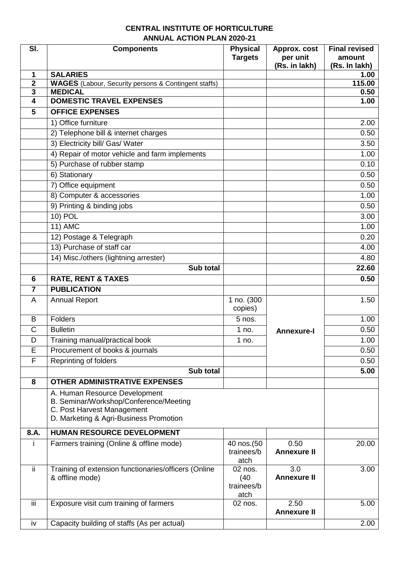## **CENTRAL INSTITUTE OF HORTICULTURE ANNUAL ACTION PLAN 2020-21**

| SI.            | <b>Components</b>                                                                                                                               | <b>Physical</b><br><b>Targets</b>     | Approx. cost<br>per unit<br>(Rs. in lakh) | <b>Final revised</b><br>amount<br>(Rs. In lakh) |
|----------------|-------------------------------------------------------------------------------------------------------------------------------------------------|---------------------------------------|-------------------------------------------|-------------------------------------------------|
| 1              | <b>SALARIES</b>                                                                                                                                 |                                       |                                           | 1.00                                            |
| $\overline{2}$ | <b>WAGES</b> (Labour, Security persons & Contingent staffs)                                                                                     |                                       |                                           | 115.00                                          |
| 3              | <b>MEDICAL</b>                                                                                                                                  |                                       |                                           | 0.50                                            |
| 4              | <b>DOMESTIC TRAVEL EXPENSES</b>                                                                                                                 |                                       |                                           | 1.00                                            |
| 5              | <b>OFFICE EXPENSES</b>                                                                                                                          |                                       |                                           |                                                 |
|                | 1) Office furniture                                                                                                                             |                                       |                                           | 2.00                                            |
|                | 2) Telephone bill & internet charges                                                                                                            |                                       |                                           | 0.50                                            |
|                | 3) Electricity bill/ Gas/ Water                                                                                                                 |                                       |                                           | 3.50                                            |
|                | 4) Repair of motor vehicle and farm implements                                                                                                  |                                       |                                           | 1.00                                            |
|                | 5) Purchase of rubber stamp                                                                                                                     |                                       |                                           | 0.10                                            |
|                | 6) Stationary                                                                                                                                   |                                       |                                           | 0.50                                            |
|                | 7) Office equipment                                                                                                                             |                                       |                                           | 0.50                                            |
|                | 8) Computer & accessories                                                                                                                       |                                       |                                           | 1.00                                            |
|                | 9) Printing & binding jobs                                                                                                                      |                                       |                                           | 0.50                                            |
|                | 10) POL                                                                                                                                         |                                       |                                           | 3.00                                            |
|                | $11)$ AMC                                                                                                                                       |                                       |                                           | 1.00                                            |
|                | 12) Postage & Telegraph                                                                                                                         |                                       |                                           | 0.20                                            |
|                | 13) Purchase of staff car                                                                                                                       |                                       |                                           | 4.00                                            |
|                | 14) Misc./others (lightning arrester)                                                                                                           |                                       |                                           | 4.80                                            |
|                | Sub total                                                                                                                                       |                                       |                                           | 22.60                                           |
| 6              | <b>RATE, RENT &amp; TAXES</b>                                                                                                                   |                                       |                                           | 0.50                                            |
| 7              | <b>PUBLICATION</b>                                                                                                                              |                                       |                                           |                                                 |
| A              | <b>Annual Report</b>                                                                                                                            | 1 no. (300                            |                                           | 1.50                                            |
|                |                                                                                                                                                 | copies)                               |                                           |                                                 |
| B              | Folders                                                                                                                                         | 5 nos.                                |                                           | 1.00                                            |
| C              | <b>Bulletin</b>                                                                                                                                 | 1 no.                                 | <b>Annexure-I</b>                         | 0.50                                            |
| D              | Training manual/practical book                                                                                                                  | 1 no.                                 |                                           | 1.00                                            |
| Ε              | Procurement of books & journals                                                                                                                 |                                       |                                           | 0.50                                            |
| F              | Reprinting of folders                                                                                                                           |                                       |                                           | 0.50                                            |
|                | Sub total                                                                                                                                       |                                       |                                           | 5.00                                            |
| 8              | <b>OTHER ADMINISTRATIVE EXPENSES</b>                                                                                                            |                                       |                                           |                                                 |
|                | A. Human Resource Development<br>B. Seminar/Workshop/Conference/Meeting<br>C. Post Harvest Management<br>D. Marketing & Agri-Business Promotion |                                       |                                           |                                                 |
| 8.A.           | <b>HUMAN RESOURCE DEVELOPMENT</b>                                                                                                               |                                       |                                           |                                                 |
| Ť              | Farmers training (Online & offline mode)                                                                                                        | 40 nos.(50                            | 0.50                                      | 20.00                                           |
|                |                                                                                                                                                 | trainees/b<br>atch                    | <b>Annexure II</b>                        |                                                 |
| ii.            | Training of extension functionaries/officers (Online<br>& offline mode)                                                                         | 02 nos.<br>(40)<br>trainees/b<br>atch | 3.0<br><b>Annexure II</b>                 | 3.00                                            |
| iii            | Exposure visit cum training of farmers                                                                                                          | 02 nos.                               | 2.50<br><b>Annexure II</b>                | 5.00                                            |
| iv             | Capacity building of staffs (As per actual)                                                                                                     |                                       |                                           | 2.00                                            |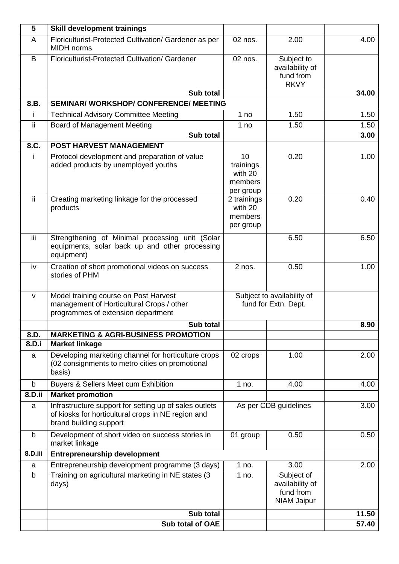| 5            | <b>Skill development trainings</b>                                                                                                     |                                                    |                                                                  |       |
|--------------|----------------------------------------------------------------------------------------------------------------------------------------|----------------------------------------------------|------------------------------------------------------------------|-------|
| A            | Floriculturist-Protected Cultivation/ Gardener as per<br><b>MIDH</b> norms                                                             | 02 nos.                                            | 2.00                                                             | 4.00  |
| B            | Floriculturist-Protected Cultivation/ Gardener                                                                                         | 02 nos.                                            | Subject to<br>availability of<br>fund from<br><b>RKVY</b>        |       |
|              | Sub total                                                                                                                              |                                                    |                                                                  | 34.00 |
| 8.B.         | <b>SEMINAR/ WORKSHOP/ CONFERENCE/ MEETING</b>                                                                                          |                                                    |                                                                  |       |
| Ť            | <b>Technical Advisory Committee Meeting</b>                                                                                            | 1 no                                               | 1.50                                                             | 1.50  |
| ii           | Board of Management Meeting                                                                                                            | 1 no                                               | 1.50                                                             | 1.50  |
|              | Sub total                                                                                                                              |                                                    |                                                                  | 3.00  |
| 8.C.         | <b>POST HARVEST MANAGEMENT</b>                                                                                                         |                                                    |                                                                  |       |
|              | Protocol development and preparation of value<br>added products by unemployed youths                                                   | 10<br>trainings<br>with 20<br>members<br>per group | 0.20                                                             | 1.00  |
| ii           | Creating marketing linkage for the processed<br>products                                                                               | 2 trainings<br>with 20<br>members<br>per group     | 0.20                                                             | 0.40  |
| iii          | Strengthening of Minimal processing unit (Solar<br>equipments, solar back up and other processing<br>equipment)                        |                                                    | 6.50                                                             | 6.50  |
| iv           | Creation of short promotional videos on success<br>stories of PHM                                                                      | 2 nos.                                             | 0.50                                                             | 1.00  |
| $\mathsf{V}$ | Model training course on Post Harvest<br>management of Horticultural Crops / other<br>programmes of extension department               | Subject to availability of<br>fund for Extn. Dept. |                                                                  |       |
|              | Sub total                                                                                                                              |                                                    |                                                                  | 8.90  |
| 8.D.         | <b>MARKETING &amp; AGRI-BUSINESS PROMOTION</b>                                                                                         |                                                    |                                                                  |       |
| 8.D.i        | <b>Market linkage</b>                                                                                                                  |                                                    |                                                                  |       |
| a            | Developing marketing channel for horticulture crops<br>(02 consignments to metro cities on promotional<br>basis)                       | 02 crops                                           | 1.00                                                             | 2.00  |
| $\mathsf b$  | <b>Buyers &amp; Sellers Meet cum Exhibition</b>                                                                                        | 1 no.                                              | 4.00                                                             | 4.00  |
| 8.D.ii       | <b>Market promotion</b>                                                                                                                |                                                    |                                                                  |       |
| a            | Infrastructure support for setting up of sales outlets<br>of kiosks for horticultural crops in NE region and<br>brand building support | As per CDB guidelines                              |                                                                  | 3.00  |
| b            | Development of short video on success stories in<br>market linkage                                                                     | 01 group                                           | 0.50                                                             | 0.50  |
| 8.D.iii      | <b>Entrepreneurship development</b>                                                                                                    |                                                    |                                                                  |       |
| a            | Entrepreneurship development programme (3 days)                                                                                        | 1 no.                                              | 3.00                                                             | 2.00  |
| b            | Training on agricultural marketing in NE states (3<br>days)                                                                            | 1 no.                                              | Subject of<br>availability of<br>fund from<br><b>NIAM Jaipur</b> |       |
|              | Sub total                                                                                                                              |                                                    |                                                                  | 11.50 |
|              | Sub total of OAE                                                                                                                       |                                                    |                                                                  | 57.40 |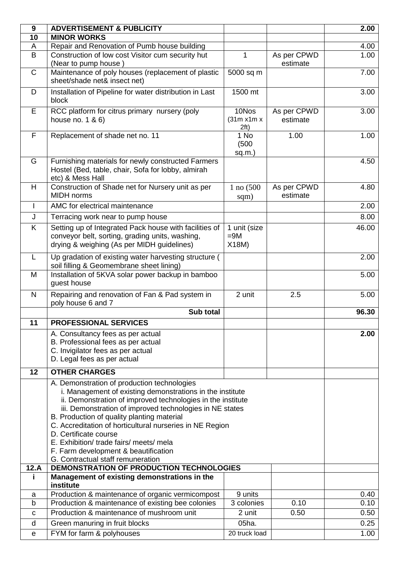| $\boldsymbol{9}$ | <b>ADVERTISEMENT &amp; PUBLICITY</b>                                                                                                                                                                                                                                                                                                                                                                                                                                                           |                                |                         | 2.00  |
|------------------|------------------------------------------------------------------------------------------------------------------------------------------------------------------------------------------------------------------------------------------------------------------------------------------------------------------------------------------------------------------------------------------------------------------------------------------------------------------------------------------------|--------------------------------|-------------------------|-------|
| 10               | <b>MINOR WORKS</b>                                                                                                                                                                                                                                                                                                                                                                                                                                                                             |                                |                         |       |
| A                | Repair and Renovation of Pumb house building                                                                                                                                                                                                                                                                                                                                                                                                                                                   |                                |                         | 4.00  |
| B                | Construction of low cost Visitor cum security hut<br>(Near to pump house)                                                                                                                                                                                                                                                                                                                                                                                                                      | 1                              | As per CPWD<br>estimate | 1.00  |
| $\mathsf{C}$     | Maintenance of poly houses (replacement of plastic<br>sheet/shade net& insect net)                                                                                                                                                                                                                                                                                                                                                                                                             | 5000 sq m                      |                         | 7.00  |
| D                | Installation of Pipeline for water distribution in Last<br>block                                                                                                                                                                                                                                                                                                                                                                                                                               | 1500 mt                        |                         | 3.00  |
| E                | RCC platform for citrus primary nursery (poly<br>house no. $1 & 6$ )                                                                                                                                                                                                                                                                                                                                                                                                                           | 10Nos<br>(31m x1m x)<br>2ft)   | As per CPWD<br>estimate | 3.00  |
| F                | Replacement of shade net no. 11                                                                                                                                                                                                                                                                                                                                                                                                                                                                | 1 No<br>(500)<br>$sq.m.$ )     | 1.00                    | 1.00  |
| G                | Furnishing materials for newly constructed Farmers<br>Hostel (Bed, table, chair, Sofa for lobby, almirah<br>etc) & Mess Hall                                                                                                                                                                                                                                                                                                                                                                   |                                |                         | 4.50  |
| H                | Construction of Shade net for Nursery unit as per<br><b>MIDH</b> norms                                                                                                                                                                                                                                                                                                                                                                                                                         | $1$ no $(500)$<br>sqm)         | As per CPWD<br>estimate | 4.80  |
| $\mathbf{I}$     | AMC for electrical maintenance                                                                                                                                                                                                                                                                                                                                                                                                                                                                 |                                |                         | 2.00  |
| J                | Terracing work near to pump house                                                                                                                                                                                                                                                                                                                                                                                                                                                              |                                |                         | 8.00  |
| K                | Setting up of Integrated Pack house with facilities of<br>conveyor belt, sorting, grading units, washing,<br>drying & weighing (As per MIDH guidelines)                                                                                                                                                                                                                                                                                                                                        | 1 unit (size<br>$=9M$<br>X18M) |                         | 46.00 |
| L                | Up gradation of existing water harvesting structure (<br>soil filling & Geomembrane sheet lining)                                                                                                                                                                                                                                                                                                                                                                                              |                                |                         | 2.00  |
| M                | Installation of 5KVA solar power backup in bamboo<br>guest house                                                                                                                                                                                                                                                                                                                                                                                                                               |                                |                         | 5.00  |
| N                | Repairing and renovation of Fan & Pad system in<br>poly house 6 and 7                                                                                                                                                                                                                                                                                                                                                                                                                          | 2 unit                         | 2.5                     | 5.00  |
|                  | Sub total                                                                                                                                                                                                                                                                                                                                                                                                                                                                                      |                                |                         | 96.30 |
| 11               | <b>PROFESSIONAL SERVICES</b>                                                                                                                                                                                                                                                                                                                                                                                                                                                                   |                                |                         |       |
|                  | A. Consultancy fees as per actual<br>B. Professional fees as per actual<br>C. Invigilator fees as per actual<br>D. Legal fees as per actual                                                                                                                                                                                                                                                                                                                                                    |                                |                         | 2.00  |
| 12               | <b>OTHER CHARGES</b>                                                                                                                                                                                                                                                                                                                                                                                                                                                                           |                                |                         |       |
|                  | A. Demonstration of production technologies<br>i. Management of existing demonstrations in the institute<br>ii. Demonstration of improved technologies in the institute<br>iii. Demonstration of improved technologies in NE states<br>B. Production of quality planting material<br>C. Accreditation of horticultural nurseries in NE Region<br>D. Certificate course<br>E. Exhibition/ trade fairs/ meets/ mela<br>F. Farm development & beautification<br>G. Contractual staff remuneration |                                |                         |       |
| 12.A             | DEMONSTRATION OF PRODUCTION TECHNOLOGIES                                                                                                                                                                                                                                                                                                                                                                                                                                                       |                                |                         |       |
|                  | Management of existing demonstrations in the<br>institute                                                                                                                                                                                                                                                                                                                                                                                                                                      |                                |                         |       |
| a                | Production & maintenance of organic vermicompost                                                                                                                                                                                                                                                                                                                                                                                                                                               | 9 units                        |                         | 0.40  |
| b                | Production & maintenance of existing bee colonies                                                                                                                                                                                                                                                                                                                                                                                                                                              | 3 colonies                     | 0.10                    | 0.10  |
| C                | Production & maintenance of mushroom unit                                                                                                                                                                                                                                                                                                                                                                                                                                                      | 2 unit                         | 0.50                    | 0.50  |
| d                | Green manuring in fruit blocks                                                                                                                                                                                                                                                                                                                                                                                                                                                                 | 05ha.                          |                         | 0.25  |
| е                | FYM for farm & polyhouses                                                                                                                                                                                                                                                                                                                                                                                                                                                                      | 20 truck load                  |                         | 1.00  |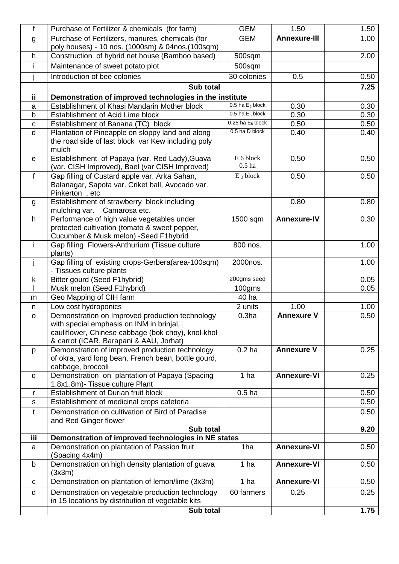| f            | Purchase of Fertilizer & chemicals (for farm)                                                                                                                                                  | <b>GEM</b>            | 1.50                | 1.50 |
|--------------|------------------------------------------------------------------------------------------------------------------------------------------------------------------------------------------------|-----------------------|---------------------|------|
| g            | Purchase of Fertilizers, manures, chemicals (for                                                                                                                                               | <b>GEM</b>            | <b>Annexure-III</b> | 1.00 |
| h.           | poly houses) - 10 nos. (1000sm) & 04nos. (100sqm)<br>Construction of hybrid net house (Bamboo based)                                                                                           | 500sqm                |                     | 2.00 |
| j.           | Maintenance of sweet potato plot                                                                                                                                                               | 500sqm                |                     |      |
|              | Introduction of bee colonies                                                                                                                                                                   | 30 colonies           | 0.5                 | 0.50 |
|              | Sub total                                                                                                                                                                                      |                       |                     | 7.25 |
| ii.          | Demonstration of improved technologies in the institute                                                                                                                                        |                       |                     |      |
| a            | Establishment of Khasi Mandarin Mother block                                                                                                                                                   | $0.5$ ha $E_6$ block  | 0.30                | 0.30 |
| b            | <b>Establishment of Acid Lime block</b>                                                                                                                                                        | $0.5$ ha $E_5$ block  | 0.30                | 0.30 |
| $\mathbf c$  | Establishment of Banana (TC) block                                                                                                                                                             | $0.25$ ha $E_5$ block | 0.50                | 0.50 |
| $\mathsf{d}$ | Plantation of Pineapple on sloppy land and along<br>the road side of last block var Kew including poly<br>mulch                                                                                | 0.5 ha D block        | 0.40                | 0.40 |
| $\mathbf e$  | Establishment of Papaya (var. Red Lady), Guava<br>(var. CISH Improved), Bael (var CISH Improved)                                                                                               | E 6 block<br>$0.5$ ha | 0.50                | 0.50 |
| f            | Gap filling of Custard apple var. Arka Sahan,<br>Balanagar, Sapota var. Criket ball, Avocado var.<br>Pinkerton, etc                                                                            | $E_3$ block           | 0.50                | 0.50 |
| g            | Establishment of strawberry block including<br>mulching var.<br>Camarosa etc.                                                                                                                  |                       | 0.80                | 0.80 |
| h.           | Performance of high value vegetables under<br>protected cultivation (tomato & sweet pepper,<br>Cucumber & Musk melon) -Seed F1hybrid                                                           | 1500 sqm              | <b>Annexure-IV</b>  | 0.30 |
| j.           | Gap filling Flowers-Anthurium (Tissue culture<br>plants)                                                                                                                                       | 800 nos.              |                     | 1.00 |
| j.           | Gap filling of existing crops-Gerbera(area-100sqm)<br>- Tissues culture plants                                                                                                                 | 2000nos.              |                     | 1.00 |
| k            | Bitter gourd (Seed F1hybrid)                                                                                                                                                                   | 200gms seed           |                     | 0.05 |
|              | Musk melon (Seed F1hybrid)                                                                                                                                                                     | $100$ gms             |                     | 0.05 |
| m            | Geo Mapping of CIH farm                                                                                                                                                                        | 40 ha                 |                     |      |
| n            | Low cost hydroponics                                                                                                                                                                           | 2 units               | 1.00                | 1.00 |
| $\mathsf{o}$ | Demonstration on Improved production technology<br>with special emphasis on INM in brinjal, ,<br>cauliflower, Chinese cabbage (bok choy), knol-khol<br>& carrot (ICAR, Barapani & AAU, Jorhat) | 0.3 <sub>ha</sub>     | <b>Annexure V</b>   | 0.50 |
| p            | Demonstration of improved production technology<br>of okra, yard long bean, French bean, bottle gourd,<br>cabbage, broccoli                                                                    | 0.2 <sub>ha</sub>     | <b>Annexure V</b>   | 0.25 |
| q            | Demonstration on plantation of Papaya (Spacing<br>1.8x1.8m)- Tissue culture Plant                                                                                                              | 1 <sub>ha</sub>       | <b>Annexure-VI</b>  | 0.25 |
| r            | Establishment of Durian fruit block                                                                                                                                                            | 0.5 <sub>ha</sub>     |                     | 0.50 |
| s            | Establishment of medicinal crops cafeteria                                                                                                                                                     |                       |                     | 0.50 |
| t            | Demonstration on cultivation of Bird of Paradise<br>and Red Ginger flower                                                                                                                      |                       |                     | 0.50 |
|              | Sub total                                                                                                                                                                                      |                       |                     | 9.20 |
| iii          | Demonstration of improved technologies in NE states                                                                                                                                            |                       |                     |      |
| a            | Demonstration on plantation of Passion fruit<br>(Spacing 4x4m)                                                                                                                                 | 1ha                   | <b>Annexure-VI</b>  | 0.50 |
| b            | Demonstration on high density plantation of guava<br>(3x3m)                                                                                                                                    | 1 ha                  | <b>Annexure-VI</b>  | 0.50 |
| C            | Demonstration on plantation of lemon/lime (3x3m)                                                                                                                                               | 1 <sub>ha</sub>       | Annexure-VI         | 0.50 |
| d            | Demonstration on vegetable production technology<br>in 15 locations by distribution of vegetable kits                                                                                          | 60 farmers            | 0.25                | 0.25 |
|              | Sub total                                                                                                                                                                                      |                       |                     | 1.75 |